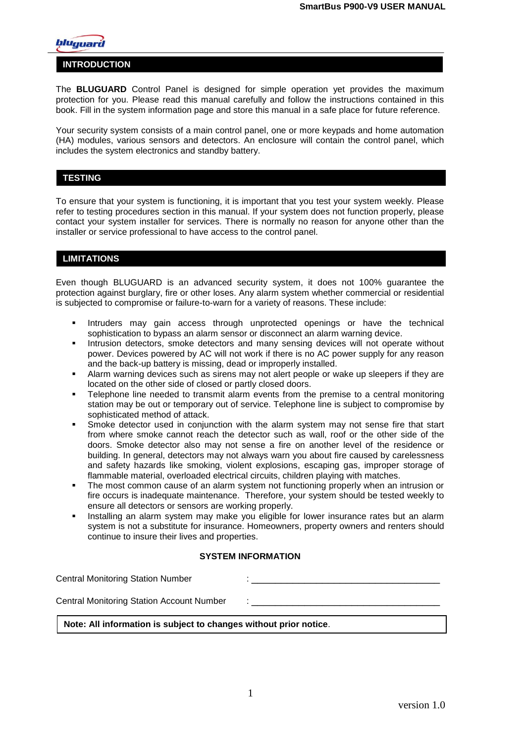

#### **INTRODUCTION**

The **BLUGUARD** Control Panel is designed for simple operation yet provides the maximum protection for you. Please read this manual carefully and follow the instructions contained in this book. Fill in the system information page and store this manual in a safe place for future reference.

Your security system consists of a main control panel, one or more keypads and home automation (HA) modules, various sensors and detectors. An enclosure will contain the control panel, which includes the system electronics and standby battery.

#### **TESTING**

To ensure that your system is functioning, it is important that you test your system weekly. Please refer to testing procedures section in this manual. If your system does not function properly, please contact your system installer for services. There is normally no reason for anyone other than the installer or service professional to have access to the control panel.

#### **LIMITATIONS**

Even though BLUGUARD is an advanced security system, it does not 100% guarantee the protection against burglary, fire or other loses. Any alarm system whether commercial or residential is subjected to compromise or failure-to-warn for a variety of reasons. These include:

- **Intruders may gain access through unprotected openings or have the technical** sophistication to bypass an alarm sensor or disconnect an alarm warning device.
- **Intrusion detectors, smoke detectors and many sensing devices will not operate without** power. Devices powered by AC will not work if there is no AC power supply for any reason and the back-up battery is missing, dead or improperly installed.
- Alarm warning devices such as sirens may not alert people or wake up sleepers if they are located on the other side of closed or partly closed doors.
- Telephone line needed to transmit alarm events from the premise to a central monitoring station may be out or temporary out of service. Telephone line is subject to compromise by sophisticated method of attack.
- Smoke detector used in conjunction with the alarm system may not sense fire that start from where smoke cannot reach the detector such as wall, roof or the other side of the doors. Smoke detector also may not sense a fire on another level of the residence or building. In general, detectors may not always warn you about fire caused by carelessness and safety hazards like smoking, violent explosions, escaping gas, improper storage of flammable material, overloaded electrical circuits, children playing with matches.
- The most common cause of an alarm system not functioning properly when an intrusion or fire occurs is inadequate maintenance. Therefore, your system should be tested weekly to ensure all detectors or sensors are working properly.
- Installing an alarm system may make you eligible for lower insurance rates but an alarm system is not a substitute for insurance. Homeowners, property owners and renters should continue to insure their lives and properties.

#### **SYSTEM INFORMATION**

Central Monitoring Station Number : \_\_\_\_\_\_\_\_\_\_\_\_\_\_\_\_\_\_\_\_\_\_\_\_\_\_\_\_\_\_\_\_

Central Monitoring Station Account Number

#### **Note: All information is subject to changes without prior notice**.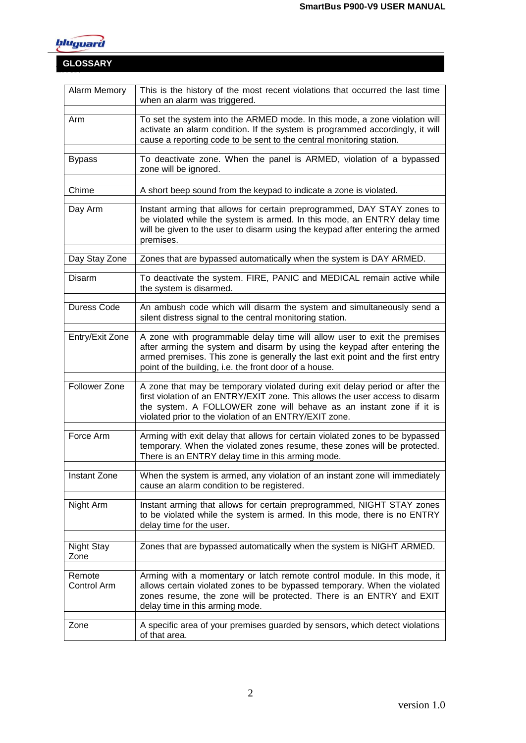

# **Error! GLOSSARY**

| Alarm Memory          | This is the history of the most recent violations that occurred the last time<br>when an alarm was triggered.                                                                                                                                                                                     |  |
|-----------------------|---------------------------------------------------------------------------------------------------------------------------------------------------------------------------------------------------------------------------------------------------------------------------------------------------|--|
| Arm                   | To set the system into the ARMED mode. In this mode, a zone violation will<br>activate an alarm condition. If the system is programmed accordingly, it will<br>cause a reporting code to be sent to the central monitoring station.                                                               |  |
| <b>Bypass</b>         | To deactivate zone. When the panel is ARMED, violation of a bypassed<br>zone will be ignored.                                                                                                                                                                                                     |  |
| Chime                 | A short beep sound from the keypad to indicate a zone is violated.                                                                                                                                                                                                                                |  |
| Day Arm               | Instant arming that allows for certain preprogrammed, DAY STAY zones to<br>be violated while the system is armed. In this mode, an ENTRY delay time<br>will be given to the user to disarm using the keypad after entering the armed<br>premises.                                                 |  |
| Day Stay Zone         | Zones that are bypassed automatically when the system is DAY ARMED.                                                                                                                                                                                                                               |  |
| Disarm                | To deactivate the system. FIRE, PANIC and MEDICAL remain active while<br>the system is disarmed.                                                                                                                                                                                                  |  |
| <b>Duress Code</b>    | An ambush code which will disarm the system and simultaneously send a<br>silent distress signal to the central monitoring station.                                                                                                                                                                |  |
| Entry/Exit Zone       | A zone with programmable delay time will allow user to exit the premises<br>after arming the system and disarm by using the keypad after entering the<br>armed premises. This zone is generally the last exit point and the first entry<br>point of the building, i.e. the front door of a house. |  |
| Follower Zone         | A zone that may be temporary violated during exit delay period or after the<br>first violation of an ENTRY/EXIT zone. This allows the user access to disarm<br>the system. A FOLLOWER zone will behave as an instant zone if it is<br>violated prior to the violation of an ENTRY/EXIT zone.      |  |
| Force Arm             | Arming with exit delay that allows for certain violated zones to be bypassed<br>temporary. When the violated zones resume, these zones will be protected.<br>There is an ENTRY delay time in this arming mode.                                                                                    |  |
| <b>Instant Zone</b>   | When the system is armed, any violation of an instant zone will immediately<br>cause an alarm condition to be registered.                                                                                                                                                                         |  |
| Night Arm             | Instant arming that allows for certain preprogrammed, NIGHT STAY zones<br>to be violated while the system is armed. In this mode, there is no ENTRY<br>delay time for the user.                                                                                                                   |  |
| Night Stay<br>Zone    | Zones that are bypassed automatically when the system is NIGHT ARMED.                                                                                                                                                                                                                             |  |
| Remote<br>Control Arm | Arming with a momentary or latch remote control module. In this mode, it<br>allows certain violated zones to be bypassed temporary. When the violated<br>zones resume, the zone will be protected. There is an ENTRY and EXIT<br>delay time in this arming mode.                                  |  |
| Zone                  | A specific area of your premises guarded by sensors, which detect violations<br>of that area.                                                                                                                                                                                                     |  |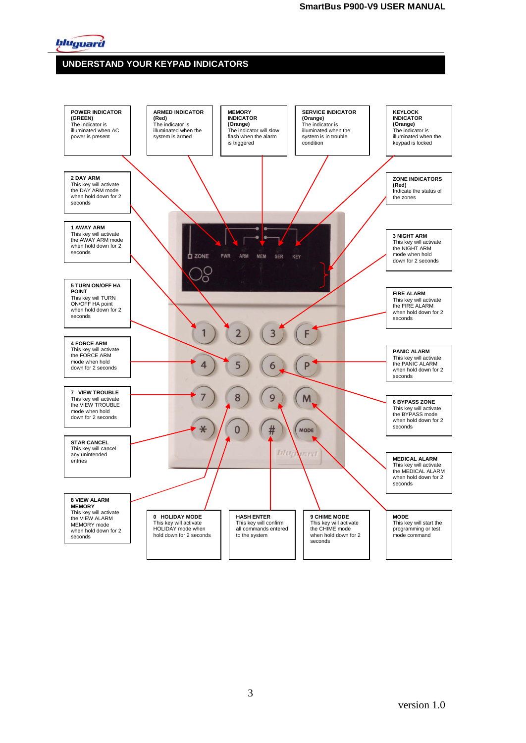

# **UNDERSTAND YOUR KEYPAD INDICATORS**

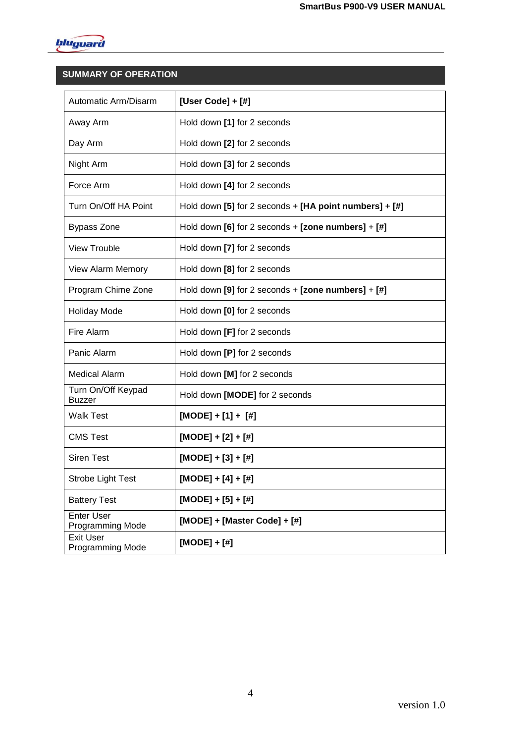

# **SUMMARY OF OPERATION**

| Automatic Arm/Disarm                         | [User Code] + $[#]$                                        |
|----------------------------------------------|------------------------------------------------------------|
| Away Arm                                     | Hold down [1] for 2 seconds                                |
| Day Arm                                      | Hold down [2] for 2 seconds                                |
| Night Arm                                    | Hold down [3] for 2 seconds                                |
| Force Arm                                    | Hold down [4] for 2 seconds                                |
| Turn On/Off HA Point                         | Hold down [5] for 2 seconds $+$ [HA point numbers] $+$ [#] |
| <b>Bypass Zone</b>                           | Hold down $[6]$ for 2 seconds + $[zone numbers] + [4]$     |
| View Trouble                                 | Hold down [7] for 2 seconds                                |
| <b>View Alarm Memory</b>                     | Hold down [8] for 2 seconds                                |
| Program Chime Zone                           | Hold down $[9]$ for 2 seconds + [zone numbers] + $[#]$     |
| <b>Holiday Mode</b>                          | Hold down [0] for 2 seconds                                |
| Fire Alarm                                   | Hold down [F] for 2 seconds                                |
| Panic Alarm                                  | Hold down [P] for 2 seconds                                |
| <b>Medical Alarm</b>                         | Hold down [M] for 2 seconds                                |
| Turn On/Off Keypad<br><b>Buzzer</b>          | Hold down [MODE] for 2 seconds                             |
| <b>Walk Test</b>                             | $[{\sf MODE}] + [1] + [ #]$                                |
| <b>CMS Test</b>                              | $[MODE] + [2] + [#]$                                       |
| <b>Siren Test</b>                            | $[MODE] + [3] + [#]$                                       |
| <b>Strobe Light Test</b>                     | [MODE] + [4] + [#]                                         |
| <b>Battery Test</b>                          | $[MODE] + [5] + [#]$                                       |
| <b>Enter User</b><br><b>Programming Mode</b> | $[MODE] + [Master Code] + [#]$                             |
| <b>Exit User</b><br><b>Programming Mode</b>  | $[MODE] + [#]$                                             |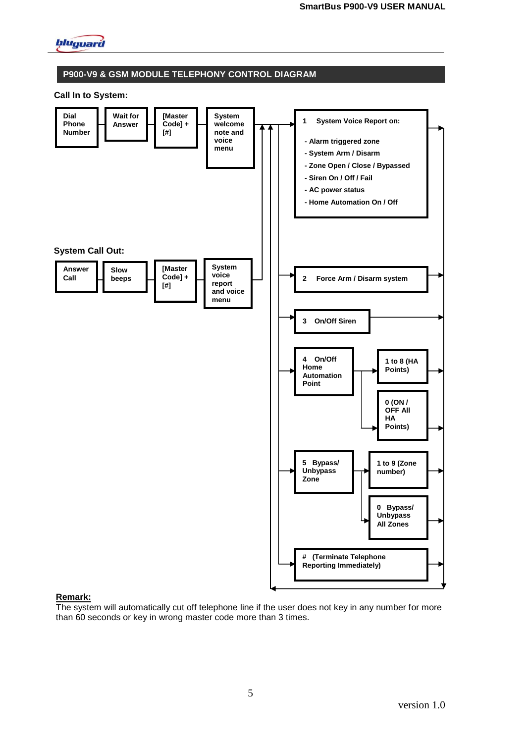

#### **P900-V9 & GSM MODULE TELEPHONY CONTROL DIAGRAM**

#### **Call In to System:**



#### **Remark:**

The system will automatically cut off telephone line if the user does not key in any number for more than 60 seconds or key in wrong master code more than 3 times.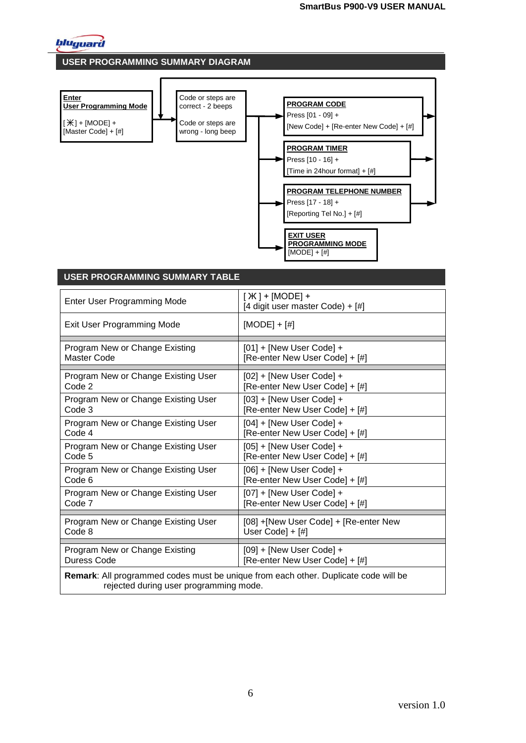

#### **USER PROGRAMMING SUMMARY DIAGRAM**

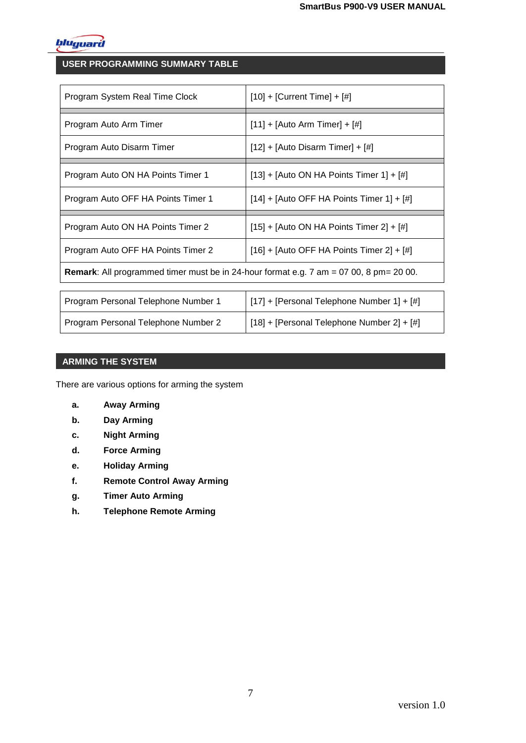

# **USER PROGRAMMING SUMMARY TABLE**

| Program System Real Time Clock                                                                | $[10] + [Current Time] + [#]$               |  |
|-----------------------------------------------------------------------------------------------|---------------------------------------------|--|
| Program Auto Arm Timer                                                                        | $[11] + [Auto Arm Timer] + [#]$             |  |
| Program Auto Disarm Timer                                                                     | $[12] + [Auto Disarm Timer] + [#]$          |  |
| Program Auto ON HA Points Timer 1                                                             | [13] + [Auto ON HA Points Timer 1] + $[#]$  |  |
| Program Auto OFF HA Points Timer 1                                                            | $[14] + [Auto OFF HA Points Timer 1] + [#]$ |  |
|                                                                                               |                                             |  |
| Program Auto ON HA Points Timer 2                                                             | $[15] + [Auto ON HA Points Time 2] + [#]$   |  |
| Program Auto OFF HA Points Timer 2                                                            | $[16] + [Auto OFF HA Points Time 2] + [#]$  |  |
| <b>Remark:</b> All programmed timer must be in 24-hour format e.g. 7 am = 07 00, 8 pm= 20 00. |                                             |  |
| Program Personal Telephone Number 1                                                           | [17] + [Personal Telephone Number 1] + [#]  |  |

#### **ARMING THE SYSTEM**

There are various options for arming the system

- **a. Away Arming**
- **b. Day Arming**
- **c. Night Arming**
- **d. Force Arming**
- **e. Holiday Arming**
- **f. Remote Control Away Arming**
- **g. Timer Auto Arming**
- **h. Telephone Remote Arming**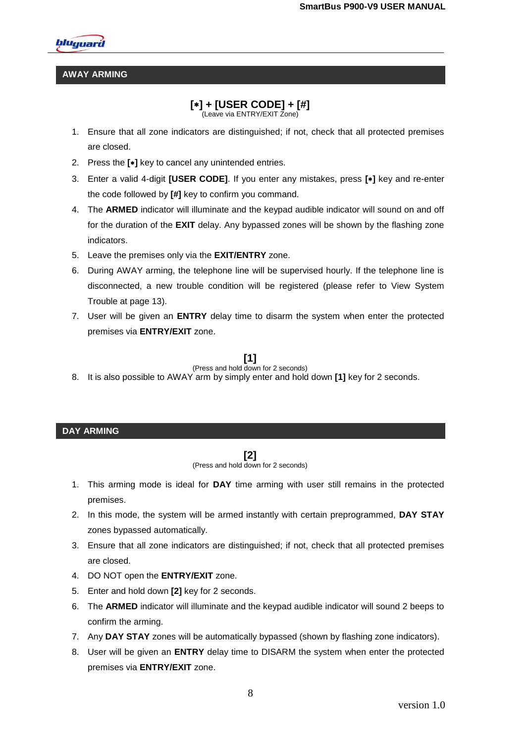

#### **AWAY ARMING**

# **[] + [USER CODE] + [#]**

(Leave via ENTRY/EXIT Zone)

- 1. Ensure that all zone indicators are distinguished; if not, check that all protected premises are closed.
- 2. Press the **[]** key to cancel any unintended entries.
- 3. Enter a valid 4-digit **[USER CODE]**. If you enter any mistakes, press **[]** key and re-enter the code followed by **[#]** key to confirm you command.
- 4. The **ARMED** indicator will illuminate and the keypad audible indicator will sound on and off for the duration of the **EXIT** delay. Any bypassed zones will be shown by the flashing zone indicators.
- 5. Leave the premises only via the **EXIT/ENTRY** zone.
- 6. During AWAY arming, the telephone line will be supervised hourly. If the telephone line is disconnected, a new trouble condition will be registered (please refer to View System Trouble at page 13).
- 7. User will be given an **ENTRY** delay time to disarm the system when enter the protected premises via **ENTRY/EXIT** zone.

## **[1]**

#### (Press and hold down for 2 seconds) 8. It is also possible to AWAY arm by simply enter and hold down **[1]** key for 2 seconds.

#### **DAY ARMING**

**[2]**

(Press and hold down for 2 seconds)

- 1. This arming mode is ideal for **DAY** time arming with user still remains in the protected premises.
- 2. In this mode, the system will be armed instantly with certain preprogrammed, **DAY STAY** zones bypassed automatically.
- 3. Ensure that all zone indicators are distinguished; if not, check that all protected premises are closed.
- 4. DO NOT open the **ENTRY/EXIT** zone.
- 5. Enter and hold down **[2]** key for 2 seconds.
- 6. The **ARMED** indicator will illuminate and the keypad audible indicator will sound 2 beeps to confirm the arming.
- 7. Any **DAY STAY** zones will be automatically bypassed (shown by flashing zone indicators).
- 8. User will be given an **ENTRY** delay time to DISARM the system when enter the protected premises via **ENTRY/EXIT** zone.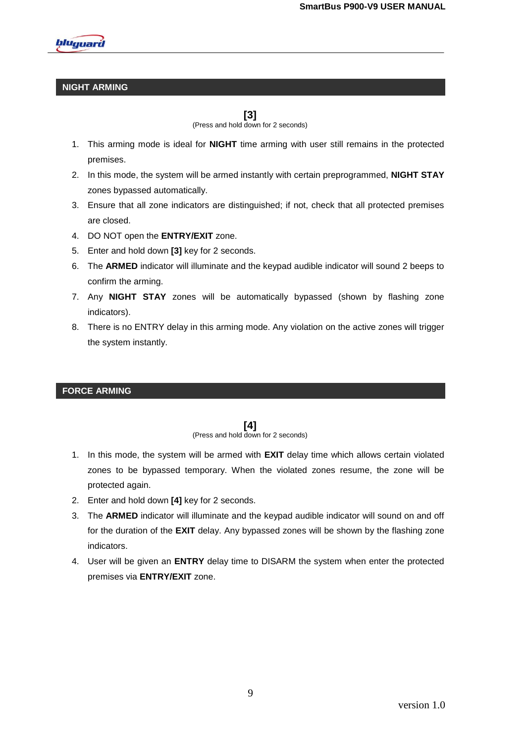

#### **NIGHT ARMING**

**[3]**

(Press and hold down for 2 seconds)

- 1. This arming mode is ideal for **NIGHT** time arming with user still remains in the protected premises.
- 2. In this mode, the system will be armed instantly with certain preprogrammed, **NIGHT STAY**  zones bypassed automatically.
- 3. Ensure that all zone indicators are distinguished; if not, check that all protected premises are closed.
- 4. DO NOT open the **ENTRY/EXIT** zone.
- 5. Enter and hold down **[3]** key for 2 seconds.
- 6. The **ARMED** indicator will illuminate and the keypad audible indicator will sound 2 beeps to confirm the arming.
- 7. Any **NIGHT STAY** zones will be automatically bypassed (shown by flashing zone indicators).
- 8. There is no ENTRY delay in this arming mode. Any violation on the active zones will trigger the system instantly.

#### **FORCE ARMING**

## **[4]**

(Press and hold down for 2 seconds)

- 1. In this mode, the system will be armed with **EXIT** delay time which allows certain violated zones to be bypassed temporary. When the violated zones resume, the zone will be protected again.
- 2. Enter and hold down **[4]** key for 2 seconds.
- 3. The **ARMED** indicator will illuminate and the keypad audible indicator will sound on and off for the duration of the **EXIT** delay. Any bypassed zones will be shown by the flashing zone indicators.
- 4. User will be given an **ENTRY** delay time to DISARM the system when enter the protected premises via **ENTRY/EXIT** zone.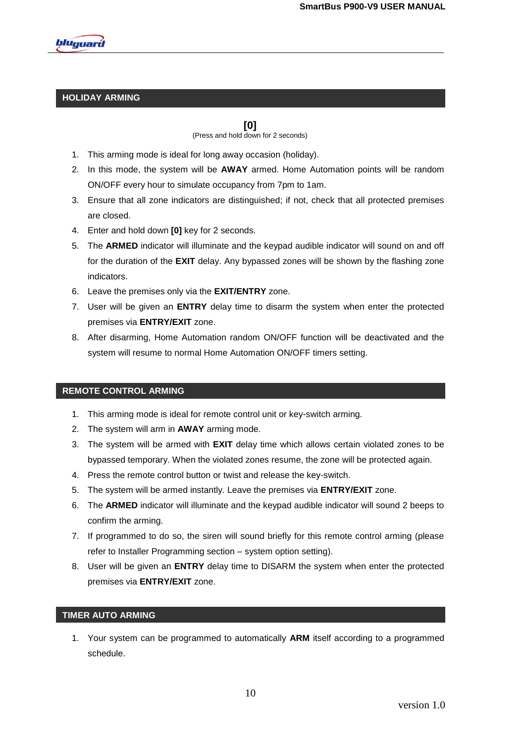

## **HOLIDAY ARMING**

**[0]** (Press and hold down for 2 seconds)

- 1. This arming mode is ideal for long away occasion (holiday).
- 2. In this mode, the system will be **AWAY** armed. Home Automation points will be random ON/OFF every hour to simulate occupancy from 7pm to 1am.
- 3. Ensure that all zone indicators are distinguished; if not, check that all protected premises are closed.
- 4. Enter and hold down **[0]** key for 2 seconds.
- 5. The **ARMED** indicator will illuminate and the keypad audible indicator will sound on and off for the duration of the **EXIT** delay. Any bypassed zones will be shown by the flashing zone indicators.
- 6. Leave the premises only via the **EXIT/ENTRY** zone.
- 7. User will be given an **ENTRY** delay time to disarm the system when enter the protected premises via **ENTRY/EXIT** zone.
- 8. After disarming, Home Automation random ON/OFF function will be deactivated and the system will resume to normal Home Automation ON/OFF timers setting.

## **REMOTE CONTROL ARMING**

- 1. This arming mode is ideal for remote control unit or key-switch arming.
- 2. The system will arm in **AWAY** arming mode.
- 3. The system will be armed with **EXIT** delay time which allows certain violated zones to be bypassed temporary. When the violated zones resume, the zone will be protected again.
- 4. Press the remote control button or twist and release the key-switch.
- 5. The system will be armed instantly. Leave the premises via **ENTRY/EXIT** zone.
- 6. The **ARMED** indicator will illuminate and the keypad audible indicator will sound 2 beeps to confirm the arming.
- 7. If programmed to do so, the siren will sound briefly for this remote control arming (please refer to Installer Programming section – system option setting).
- 8. User will be given an **ENTRY** delay time to DISARM the system when enter the protected premises via **ENTRY/EXIT** zone.

#### **TIMER AUTO ARMING**

1. Your system can be programmed to automatically **ARM** itself according to a programmed schedule.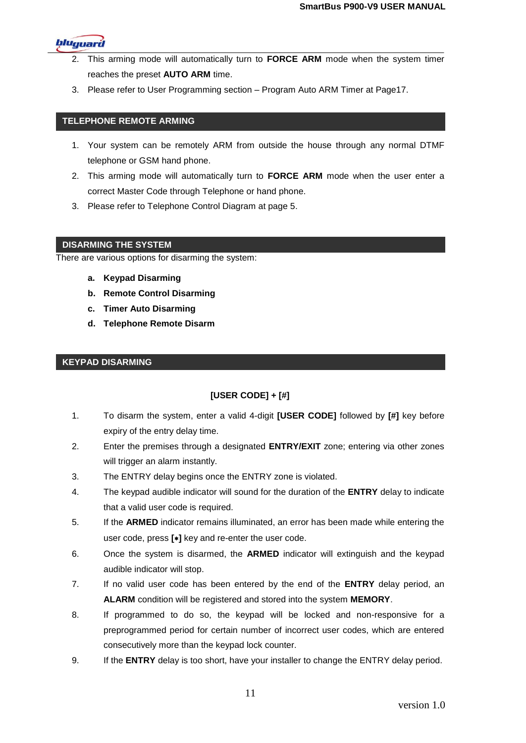bluguard

- 2. This arming mode will automatically turn to **FORCE ARM** mode when the system timer reaches the preset **AUTO ARM** time.
- 3. Please refer to User Programming section Program Auto ARM Timer at Page17.

#### **TELEPHONE REMOTE ARMING**

- 1. Your system can be remotely ARM from outside the house through any normal DTMF telephone or GSM hand phone.
- 2. This arming mode will automatically turn to **FORCE ARM** mode when the user enter a correct Master Code through Telephone or hand phone.
- 3. Please refer to Telephone Control Diagram at page 5.

#### **DISARMING THE SYSTEM**

There are various options for disarming the system:

- **a. Keypad Disarming**
- **b. Remote Control Disarming**
- **c. Timer Auto Disarming**
- **d. Telephone Remote Disarm**

#### **KEYPAD DISARMING**

## **[USER CODE] + [#]**

- 1. To disarm the system, enter a valid 4-digit **[USER CODE]** followed by **[#]** key before expiry of the entry delay time.
- 2. Enter the premises through a designated **ENTRY/EXIT** zone; entering via other zones will trigger an alarm instantly.
- 3. The ENTRY delay begins once the ENTRY zone is violated.
- 4. The keypad audible indicator will sound for the duration of the **ENTRY** delay to indicate that a valid user code is required.
- 5. If the **ARMED** indicator remains illuminated, an error has been made while entering the user code, press **[]** key and re-enter the user code.
- 6. Once the system is disarmed, the **ARMED** indicator will extinguish and the keypad audible indicator will stop.
- 7. If no valid user code has been entered by the end of the **ENTRY** delay period, an **ALARM** condition will be registered and stored into the system **MEMORY**.
- 8. If programmed to do so, the keypad will be locked and non-responsive for a preprogrammed period for certain number of incorrect user codes, which are entered consecutively more than the keypad lock counter.
- 9. If the **ENTRY** delay is too short, have your installer to change the ENTRY delay period.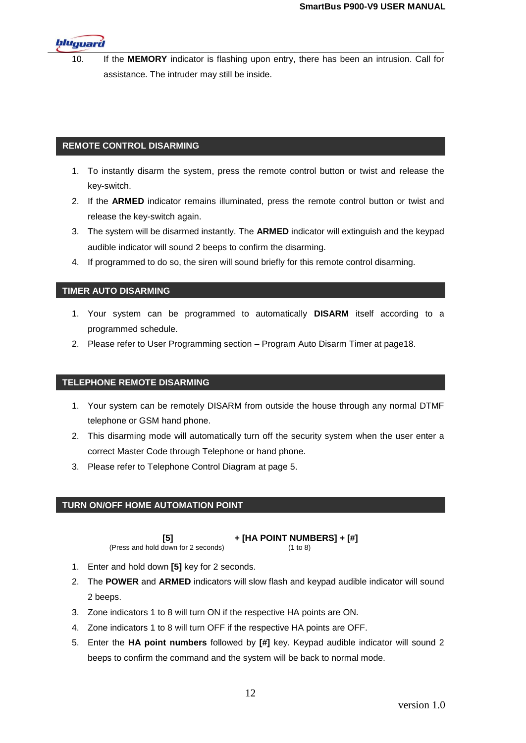

10. If the **MEMORY** indicator is flashing upon entry, there has been an intrusion. Call for assistance. The intruder may still be inside.

#### **REMOTE CONTROL DISARMING**

- 1. To instantly disarm the system, press the remote control button or twist and release the key-switch.
- 2. If the **ARMED** indicator remains illuminated, press the remote control button or twist and release the key-switch again.
- 3. The system will be disarmed instantly. The **ARMED** indicator will extinguish and the keypad audible indicator will sound 2 beeps to confirm the disarming.
- 4. If programmed to do so, the siren will sound briefly for this remote control disarming.

## **TIMER AUTO DISARMING**

- 1. Your system can be programmed to automatically **DISARM** itself according to a programmed schedule.
- 2. Please refer to User Programming section Program Auto Disarm Timer at page18.

## **TELEPHONE REMOTE DISARMING**

- 1. Your system can be remotely DISARM from outside the house through any normal DTMF telephone or GSM hand phone.
- 2. This disarming mode will automatically turn off the security system when the user enter a correct Master Code through Telephone or hand phone.
- 3. Please refer to Telephone Control Diagram at page 5.

## **TURN ON/OFF HOME AUTOMATION POINT**

(Press and hold down for 2 seconds) (1 to 8)

## **[5] + [HA POINT NUMBERS] + [#]**

- 1. Enter and hold down **[5]** key for 2 seconds.
- 2. The **POWER** and **ARMED** indicators will slow flash and keypad audible indicator will sound 2 beeps.
- 3. Zone indicators 1 to 8 will turn ON if the respective HA points are ON.
- 4. Zone indicators 1 to 8 will turn OFF if the respective HA points are OFF.
- 5. Enter the **HA point numbers** followed by **[#]** key. Keypad audible indicator will sound 2 beeps to confirm the command and the system will be back to normal mode.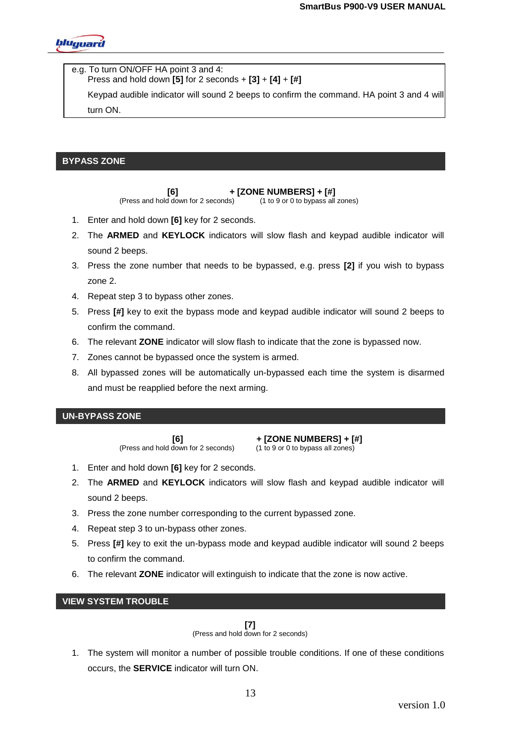

e.g. To turn ON/OFF HA point 3 and 4: Press and hold down **[5]** for 2 seconds + **[3]** + **[4]** + **[#]**

Keypad audible indicator will sound 2 beeps to confirm the command. HA point 3 and 4 will turn ON.

## **BYPASS ZONE**

**[6] + [ZONE NUMBERS] + [#]**<br>d down for 2 seconds) (1 to 9 or 0 to bypass all zones)

(Press and hold down for 2 seconds)

- 1. Enter and hold down **[6]** key for 2 seconds.
- 2. The **ARMED** and **KEYLOCK** indicators will slow flash and keypad audible indicator will sound 2 beeps.
- 3. Press the zone number that needs to be bypassed, e.g. press **[2]** if you wish to bypass zone 2.
- 4. Repeat step 3 to bypass other zones.
- 5. Press **[#]** key to exit the bypass mode and keypad audible indicator will sound 2 beeps to confirm the command.
- 6. The relevant **ZONE** indicator will slow flash to indicate that the zone is bypassed now.
- 7. Zones cannot be bypassed once the system is armed.
- 8. All bypassed zones will be automatically un-bypassed each time the system is disarmed and must be reapplied before the next arming.

## **UN-BYPASS ZONE**

(Press and hold down for 2 seconds)

**[6] + [ZONE NUMBERS] + [#]**<br>down for 2 seconds) (1 to 9 or 0 to bypass all zones)

- 1. Enter and hold down **[6]** key for 2 seconds.
- 2. The **ARMED** and **KEYLOCK** indicators will slow flash and keypad audible indicator will sound 2 beeps.
- 3. Press the zone number corresponding to the current bypassed zone.
- 4. Repeat step 3 to un-bypass other zones.
- 5. Press **[#]** key to exit the un-bypass mode and keypad audible indicator will sound 2 beeps to confirm the command.
- 6. The relevant **ZONE** indicator will extinguish to indicate that the zone is now active.

## **VIEW SYSTEM TROUBLE**

# **[7]**

(Press and hold down for 2 seconds)

1. The system will monitor a number of possible trouble conditions. If one of these conditions occurs, the **SERVICE** indicator will turn ON.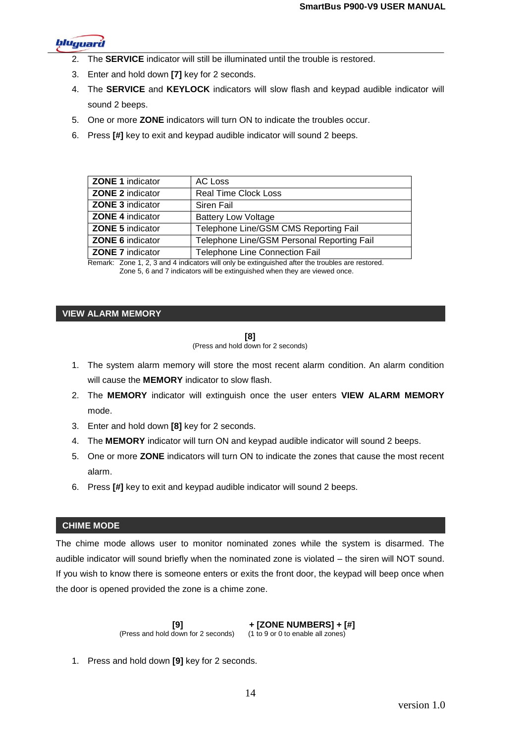

- 2. The **SERVICE** indicator will still be illuminated until the trouble is restored.
- 3. Enter and hold down **[7]** key for 2 seconds.
- 4. The **SERVICE** and **KEYLOCK** indicators will slow flash and keypad audible indicator will sound 2 beeps.
- 5. One or more **ZONE** indicators will turn ON to indicate the troubles occur.
- 6. Press **[#]** key to exit and keypad audible indicator will sound 2 beeps.

| AC Loss                                    |
|--------------------------------------------|
| <b>Real Time Clock Loss</b>                |
| Siren Fail                                 |
| <b>Battery Low Voltage</b>                 |
| Telephone Line/GSM CMS Reporting Fail      |
| Telephone Line/GSM Personal Reporting Fail |
| Telephone Line Connection Fail             |
|                                            |

Remark: Zone 1, 2, 3 and 4 indicators will only be extinguished after the troubles are restored. Zone 5, 6 and 7 indicators will be extinguished when they are viewed once.

#### **VIEW ALARM MEMORY**

**[8]** (Press and hold down for 2 seconds)

- 1. The system alarm memory will store the most recent alarm condition. An alarm condition will cause the **MEMORY** indicator to slow flash.
- 2. The **MEMORY** indicator will extinguish once the user enters **VIEW ALARM MEMORY**  mode.
- 3. Enter and hold down **[8]** key for 2 seconds.
- 4. The **MEMORY** indicator will turn ON and keypad audible indicator will sound 2 beeps.
- 5. One or more **ZONE** indicators will turn ON to indicate the zones that cause the most recent alarm.
- 6. Press **[#]** key to exit and keypad audible indicator will sound 2 beeps.

## **CHIME MODE**

The chime mode allows user to monitor nominated zones while the system is disarmed. The audible indicator will sound briefly when the nominated zone is violated – the siren will NOT sound. If you wish to know there is someone enters or exits the front door, the keypad will beep once when the door is opened provided the zone is a chime zone.

> **[9] + [ZONE NUMBERS] + [#]**<br>down for 2 seconds) (1 to 9 or 0 to enable all zones) (Press and hold down for 2 seconds)

1. Press and hold down **[9]** key for 2 seconds.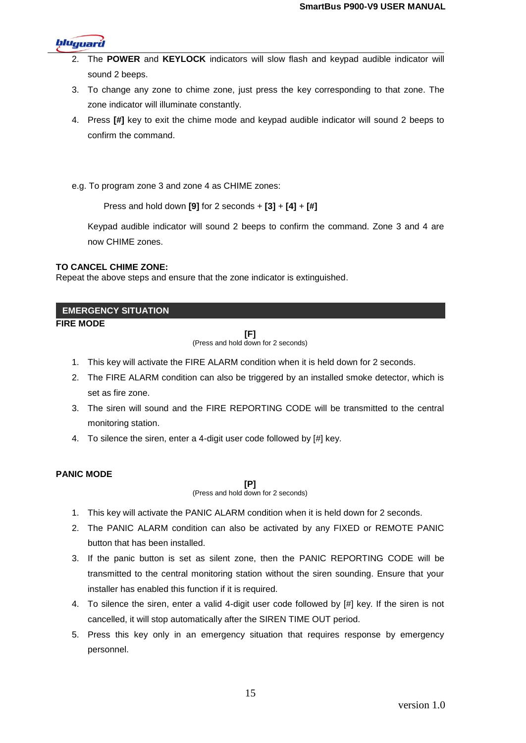

- 2. The **POWER** and **KEYLOCK** indicators will slow flash and keypad audible indicator will sound 2 beeps.
- 3. To change any zone to chime zone, just press the key corresponding to that zone. The zone indicator will illuminate constantly.
- 4. Press **[#]** key to exit the chime mode and keypad audible indicator will sound 2 beeps to confirm the command.
- e.g. To program zone 3 and zone 4 as CHIME zones:

Press and hold down **[9]** for 2 seconds + **[3]** + **[4]** + **[#]**

Keypad audible indicator will sound 2 beeps to confirm the command. Zone 3 and 4 are now CHIME zones.

#### **TO CANCEL CHIME ZONE:**

Repeat the above steps and ensure that the zone indicator is extinguished.

#### **EMERGENCY SITUATION**

# **FIRE MODE**

**[F]**

(Press and hold down for 2 seconds)

- 1. This key will activate the FIRE ALARM condition when it is held down for 2 seconds.
- 2. The FIRE ALARM condition can also be triggered by an installed smoke detector, which is set as fire zone.
	- 3. The siren will sound and the FIRE REPORTING CODE will be transmitted to the central monitoring station.
	- 4. To silence the siren, enter a 4-digit user code followed by [#] key.

## **PANIC MODE**

**[P]**

(Press and hold down for 2 seconds)

- 1. This key will activate the PANIC ALARM condition when it is held down for 2 seconds.
- 2. The PANIC ALARM condition can also be activated by any FIXED or REMOTE PANIC button that has been installed.
- 3. If the panic button is set as silent zone, then the PANIC REPORTING CODE will be transmitted to the central monitoring station without the siren sounding. Ensure that your installer has enabled this function if it is required.
- 4. To silence the siren, enter a valid 4-digit user code followed by [#] key. If the siren is not cancelled, it will stop automatically after the SIREN TIME OUT period.
- 5. Press this key only in an emergency situation that requires response by emergency personnel.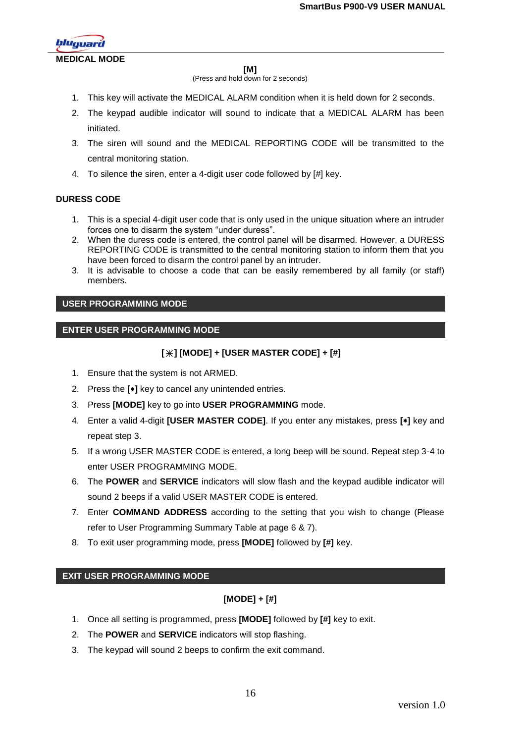

#### **MEDICAL MODE**

#### **[M]**

(Press and hold down for 2 seconds)

- 1. This key will activate the MEDICAL ALARM condition when it is held down for 2 seconds.
- 2. The keypad audible indicator will sound to indicate that a MEDICAL ALARM has been initiated.
- 3. The siren will sound and the MEDICAL REPORTING CODE will be transmitted to the central monitoring station.
- 4. To silence the siren, enter a 4-digit user code followed by [#] key.

## **DURESS CODE**

- 1. This is a special 4-digit user code that is only used in the unique situation where an intruder forces one to disarm the system "under duress".
- 2. When the duress code is entered, the control panel will be disarmed. However, a DURESS REPORTING CODE is transmitted to the central monitoring station to inform them that you have been forced to disarm the control panel by an intruder.
- 3. It is advisable to choose a code that can be easily remembered by all family (or staff) members.

#### **USER PROGRAMMING MODE**

#### **ENTER USER PROGRAMMING MODE**

## **[ ] [MODE] + [USER MASTER CODE] + [#]**

- 1. Ensure that the system is not ARMED.
- 2. Press the **[]** key to cancel any unintended entries.
- 3. Press **[MODE]** key to go into **USER PROGRAMMING** mode.
- 4. Enter a valid 4-digit **[USER MASTER CODE]**. If you enter any mistakes, press **[]** key and repeat step 3.
- 5. If a wrong USER MASTER CODE is entered, a long beep will be sound. Repeat step 3-4 to enter USER PROGRAMMING MODE.
- 6. The **POWER** and **SERVICE** indicators will slow flash and the keypad audible indicator will sound 2 beeps if a valid USER MASTER CODE is entered.
- 7. Enter **COMMAND ADDRESS** according to the setting that you wish to change (Please refer to User Programming Summary Table at page 6 & 7).
- 8. To exit user programming mode, press **[MODE]** followed by **[#]** key.

#### **EXIT USER PROGRAMMING MODE**

## **[MODE] + [#]**

- 1. Once all setting is programmed, press **[MODE]** followed by **[#]** key to exit.
- 2. The **POWER** and **SERVICE** indicators will stop flashing.
- 3. The keypad will sound 2 beeps to confirm the exit command.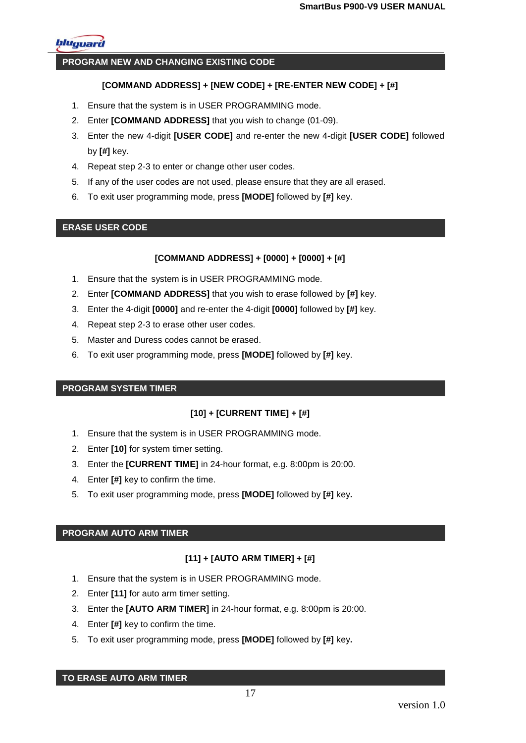

#### **PROGRAM NEW AND CHANGING EXISTING CODE**

#### **[COMMAND ADDRESS] + [NEW CODE] + [RE-ENTER NEW CODE] + [#]**

- 1. Ensure that the system is in USER PROGRAMMING mode.
- 2. Enter **[COMMAND ADDRESS]** that you wish to change (01-09).
- 3. Enter the new 4-digit **[USER CODE]** and re-enter the new 4-digit **[USER CODE]** followed by **[#]** key.
- 4. Repeat step 2-3 to enter or change other user codes.
- 5. If any of the user codes are not used, please ensure that they are all erased.
- 6. To exit user programming mode, press **[MODE]** followed by **[#]** key.

#### **ERASE USER CODE**

#### **[COMMAND ADDRESS] + [0000] + [0000] + [#]**

- 1. Ensure that the system is in USER PROGRAMMING mode.
- 2. Enter **[COMMAND ADDRESS]** that you wish to erase followed by **[#]** key.
- 3. Enter the 4-digit **[0000]** and re-enter the 4-digit **[0000]** followed by **[#]** key.
- 4. Repeat step 2-3 to erase other user codes.
- 5. Master and Duress codes cannot be erased.
- 6. To exit user programming mode, press **[MODE]** followed by **[#]** key.

#### **PROGRAM SYSTEM TIMER**

## **[10] + [CURRENT TIME] + [#]**

- 1. Ensure that the system is in USER PROGRAMMING mode.
- 2. Enter **[10]** for system timer setting.
- 3. Enter the **[CURRENT TIME]** in 24-hour format, e.g. 8:00pm is 20:00.
- 4. Enter **[#]** key to confirm the time.
- 5. To exit user programming mode, press **[MODE]** followed by **[#]** key**.**

#### **PROGRAM AUTO ARM TIMER**

## **[11] + [AUTO ARM TIMER] + [#]**

- 1. Ensure that the system is in USER PROGRAMMING mode.
- 2. Enter **[11]** for auto arm timer setting.
- 3. Enter the **[AUTO ARM TIMER]** in 24-hour format, e.g. 8:00pm is 20:00.
- 4. Enter **[#]** key to confirm the time.
- 5. To exit user programming mode, press **[MODE]** followed by **[#]** key**.**

#### **TO ERASE AUTO ARM TIMER**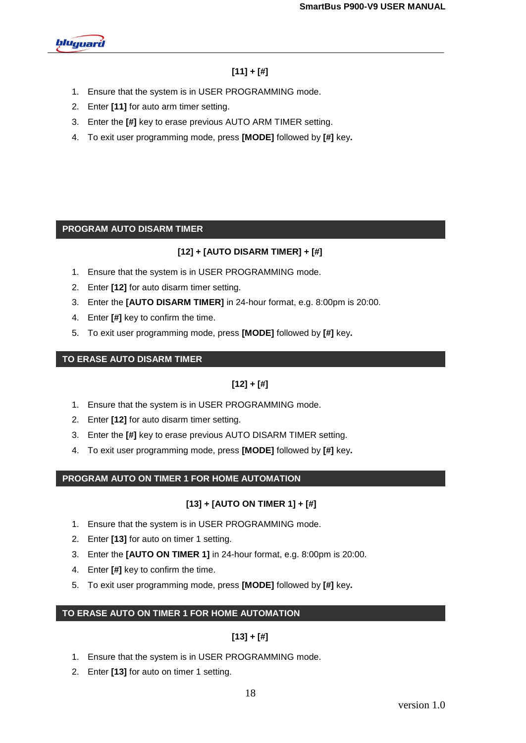

# **[11] + [#]**

- 1. Ensure that the system is in USER PROGRAMMING mode.
- 2. Enter **[11]** for auto arm timer setting.
- 3. Enter the **[#]** key to erase previous AUTO ARM TIMER setting.
- 4. To exit user programming mode, press **[MODE]** followed by **[#]** key**.**

## **PROGRAM AUTO DISARM TIMER**

## **[12] + [AUTO DISARM TIMER] + [#]**

- 1. Ensure that the system is in USER PROGRAMMING mode.
- 2. Enter **[12]** for auto disarm timer setting.
- 3. Enter the **[AUTO DISARM TIMER]** in 24-hour format, e.g. 8:00pm is 20:00.
- 4. Enter **[#]** key to confirm the time.
- 5. To exit user programming mode, press **[MODE]** followed by **[#]** key**.**

## **TO ERASE AUTO DISARM TIMER**

# **[12] + [#]**

- 1. Ensure that the system is in USER PROGRAMMING mode.
- 2. Enter **[12]** for auto disarm timer setting.
- 3. Enter the **[#]** key to erase previous AUTO DISARM TIMER setting.
- 4. To exit user programming mode, press **[MODE]** followed by **[#]** key**.**

## **PROGRAM AUTO ON TIMER 1 FOR HOME AUTOMATION**

## **[13] + [AUTO ON TIMER 1] + [#]**

- 1. Ensure that the system is in USER PROGRAMMING mode.
- 2. Enter **[13]** for auto on timer 1 setting.
- 3. Enter the **[AUTO ON TIMER 1]** in 24-hour format, e.g. 8:00pm is 20:00.
- 4. Enter **[#]** key to confirm the time.
- 5. To exit user programming mode, press **[MODE]** followed by **[#]** key**.**

## **TO ERASE AUTO ON TIMER 1 FOR HOME AUTOMATION**

## **[13] + [#]**

- 1. Ensure that the system is in USER PROGRAMMING mode.
- 2. Enter **[13]** for auto on timer 1 setting.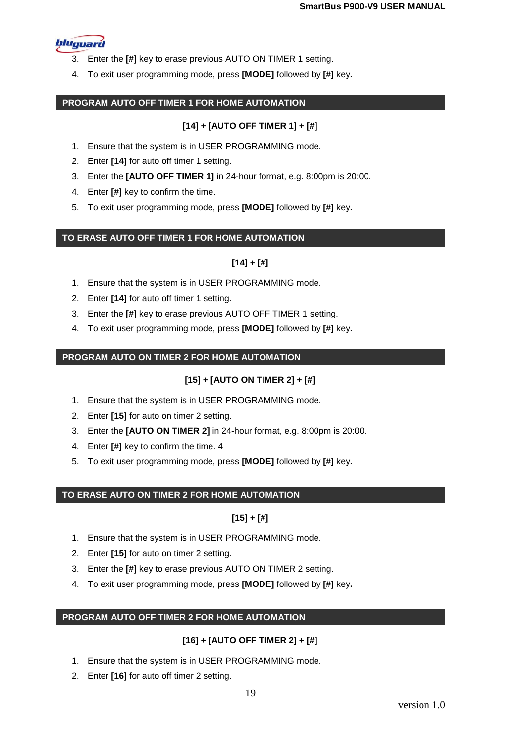

- 3. Enter the **[#]** key to erase previous AUTO ON TIMER 1 setting.
- 4. To exit user programming mode, press **[MODE]** followed by **[#]** key**.**

## **PROGRAM AUTO OFF TIMER 1 FOR HOME AUTOMATION**

## **[14] + [AUTO OFF TIMER 1] + [#]**

- 1. Ensure that the system is in USER PROGRAMMING mode.
- 2. Enter **[14]** for auto off timer 1 setting.
- 3. Enter the **[AUTO OFF TIMER 1]** in 24-hour format, e.g. 8:00pm is 20:00.
- 4. Enter **[#]** key to confirm the time.
- 5. To exit user programming mode, press **[MODE]** followed by **[#]** key**.**

## **TO ERASE AUTO OFF TIMER 1 FOR HOME AUTOMATION**

## **[14] + [#]**

- 1. Ensure that the system is in USER PROGRAMMING mode.
- 2. Enter **[14]** for auto off timer 1 setting.
- 3. Enter the **[#]** key to erase previous AUTO OFF TIMER 1 setting.
- 4. To exit user programming mode, press **[MODE]** followed by **[#]** key**.**

#### **PROGRAM AUTO ON TIMER 2 FOR HOME AUTOMATION**

## **[15] + [AUTO ON TIMER 2] + [#]**

- 1. Ensure that the system is in USER PROGRAMMING mode.
- 2. Enter **[15]** for auto on timer 2 setting.
- 3. Enter the **[AUTO ON TIMER 2]** in 24-hour format, e.g. 8:00pm is 20:00.
- 4. Enter **[#]** key to confirm the time. 4
- 5. To exit user programming mode, press **[MODE]** followed by **[#]** key**.**

#### **TO ERASE AUTO ON TIMER 2 FOR HOME AUTOMATION**

## **[15] + [#]**

- 1. Ensure that the system is in USER PROGRAMMING mode.
- 2. Enter **[15]** for auto on timer 2 setting.
- 3. Enter the **[#]** key to erase previous AUTO ON TIMER 2 setting.
- 4. To exit user programming mode, press **[MODE]** followed by **[#]** key**.**

## **PROGRAM AUTO OFF TIMER 2 FOR HOME AUTOMATION**

## **[16] + [AUTO OFF TIMER 2] + [#]**

- 1. Ensure that the system is in USER PROGRAMMING mode.
- 2. Enter **[16]** for auto off timer 2 setting.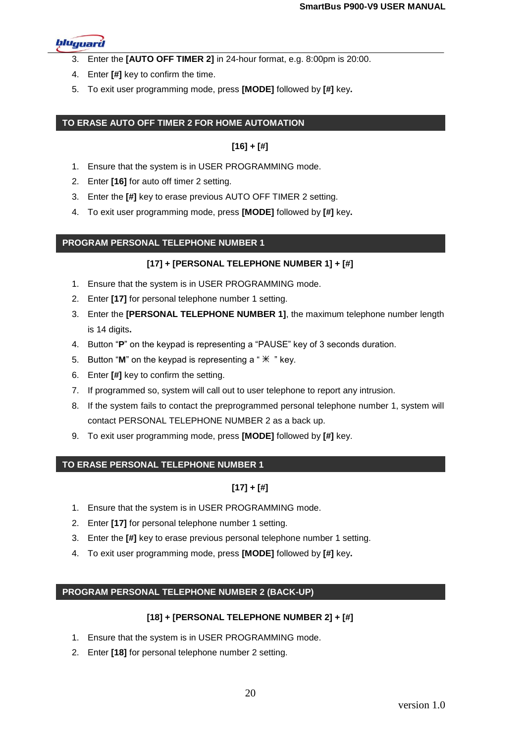

- 3. Enter the **[AUTO OFF TIMER 2]** in 24-hour format, e.g. 8:00pm is 20:00.
- 4. Enter **[#]** key to confirm the time.
- 5. To exit user programming mode, press **[MODE]** followed by **[#]** key**.**

#### **TO ERASE AUTO OFF TIMER 2 FOR HOME AUTOMATION**

## **[16] + [#]**

- 1. Ensure that the system is in USER PROGRAMMING mode.
- 2. Enter **[16]** for auto off timer 2 setting.
- 3. Enter the **[#]** key to erase previous AUTO OFF TIMER 2 setting.
- 4. To exit user programming mode, press **[MODE]** followed by **[#]** key**.**

#### **PROGRAM PERSONAL TELEPHONE NUMBER 1**

#### **[17] + [PERSONAL TELEPHONE NUMBER 1] + [#]**

- 1. Ensure that the system is in USER PROGRAMMING mode.
- 2. Enter **[17]** for personal telephone number 1 setting.
- 3. Enter the **[PERSONAL TELEPHONE NUMBER 1]**, the maximum telephone number length is 14 digits**.**
- 4. Button "**P**" on the keypad is representing a "PAUSE" key of 3 seconds duration.
- 5. Button "M" on the keypad is representing a " $*$ " key.
- 6. Enter **[#]** key to confirm the setting.
- 7. If programmed so, system will call out to user telephone to report any intrusion.
- 8. If the system fails to contact the preprogrammed personal telephone number 1, system will contact PERSONAL TELEPHONE NUMBER 2 as a back up.
- 9. To exit user programming mode, press **[MODE]** followed by **[#]** key.

#### **TO ERASE PERSONAL TELEPHONE NUMBER 1**

## **[17] + [#]**

- 1. Ensure that the system is in USER PROGRAMMING mode.
- 2. Enter **[17]** for personal telephone number 1 setting.
- 3. Enter the **[#]** key to erase previous personal telephone number 1 setting.
- 4. To exit user programming mode, press **[MODE]** followed by **[#]** key**.**

## **PROGRAM PERSONAL TELEPHONE NUMBER 2 (BACK-UP)**

#### **[18] + [PERSONAL TELEPHONE NUMBER 2] + [#]**

- 1. Ensure that the system is in USER PROGRAMMING mode.
- 2. Enter **[18]** for personal telephone number 2 setting.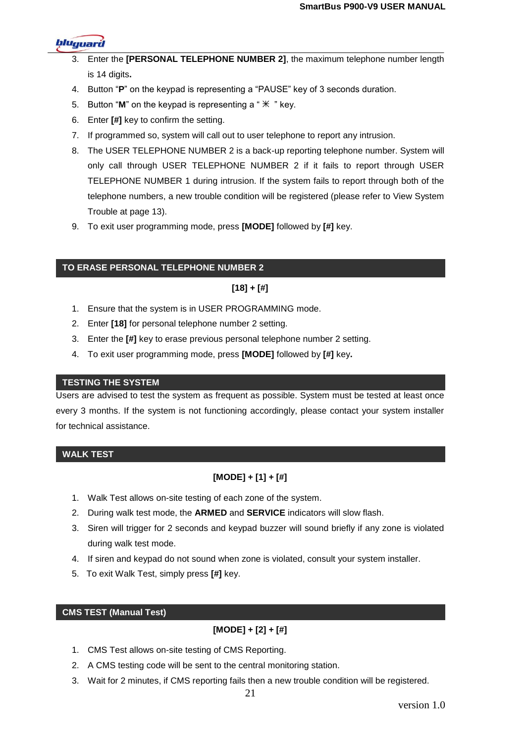

- Enter the **[PERSONAL TELEPHONE NUMBER 2]**, the maximum telephone number length is 14 digits**.**
- 4. Button "**P**" on the keypad is representing a "PAUSE" key of 3 seconds duration.
- 5. Button "M" on the keypad is representing  $a "  $\mathbb{X}$  "key.$
- 6. Enter **[#]** key to confirm the setting.
- 7. If programmed so, system will call out to user telephone to report any intrusion.
- 8. The USER TELEPHONE NUMBER 2 is a back-up reporting telephone number. System will only call through USER TELEPHONE NUMBER 2 if it fails to report through USER TELEPHONE NUMBER 1 during intrusion. If the system fails to report through both of the telephone numbers, a new trouble condition will be registered (please refer to View System Trouble at page 13).
- 9. To exit user programming mode, press **[MODE]** followed by **[#]** key.

#### **TO ERASE PERSONAL TELEPHONE NUMBER 2**

#### **[18] + [#]**

- 1. Ensure that the system is in USER PROGRAMMING mode.
- 2. Enter **[18]** for personal telephone number 2 setting.
- 3. Enter the **[#]** key to erase previous personal telephone number 2 setting.
- 4. To exit user programming mode, press **[MODE]** followed by **[#]** key**.**

#### **TESTING THE SYSTEM**

Users are advised to test the system as frequent as possible. System must be tested at least once every 3 months. If the system is not functioning accordingly, please contact your system installer for technical assistance.

## **WALK TEST**

## **[MODE] + [1] + [#]**

- 1. Walk Test allows on-site testing of each zone of the system.
- 2. During walk test mode, the **ARMED** and **SERVICE** indicators will slow flash.
- 3. Siren will trigger for 2 seconds and keypad buzzer will sound briefly if any zone is violated during walk test mode.
- 4. If siren and keypad do not sound when zone is violated, consult your system installer.
- 5. To exit Walk Test, simply press **[#]** key.

#### **CMS TEST (Manual Test)**

## **[MODE] + [2] + [#]**

- 1. CMS Test allows on-site testing of CMS Reporting.
- 2. A CMS testing code will be sent to the central monitoring station.
- 3. Wait for 2 minutes, if CMS reporting fails then a new trouble condition will be registered.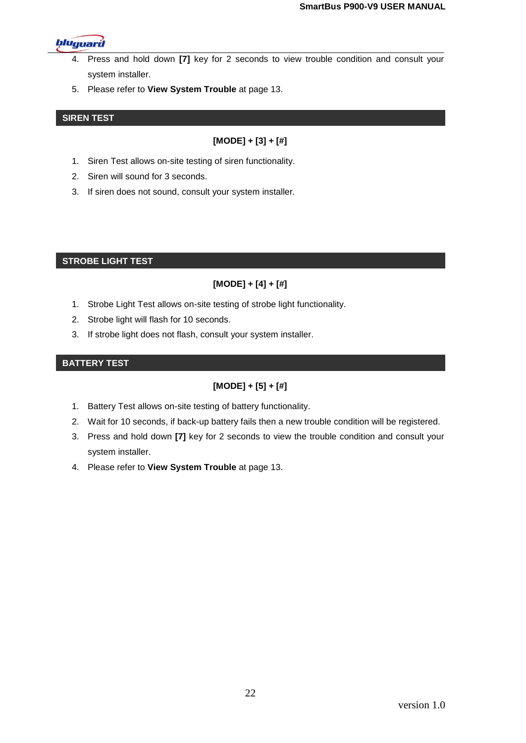

- 4. Press and hold down **[7]** key for 2 seconds to view trouble condition and consult your system installer.
- 5. Please refer to **View System Trouble** at page 13.

#### **SIREN TEST**

## **[MODE] + [3] + [#]**

- 1. Siren Test allows on-site testing of siren functionality.
- 2. Siren will sound for 3 seconds.
- 3. If siren does not sound, consult your system installer.

#### **STROBE LIGHT TEST**

# **[MODE] + [4] + [#]**

- 1. Strobe Light Test allows on-site testing of strobe light functionality.
- 2. Strobe light will flash for 10 seconds.
- 3. If strobe light does not flash, consult your system installer.

#### **BATTERY TEST**

# **[MODE] + [5] + [#]**

- 1. Battery Test allows on-site testing of battery functionality.
- 2. Wait for 10 seconds, if back-up battery fails then a new trouble condition will be registered.
- 3. Press and hold down **[7]** key for 2 seconds to view the trouble condition and consult your system installer.
- 4. Please refer to **View System Trouble** at page 13.